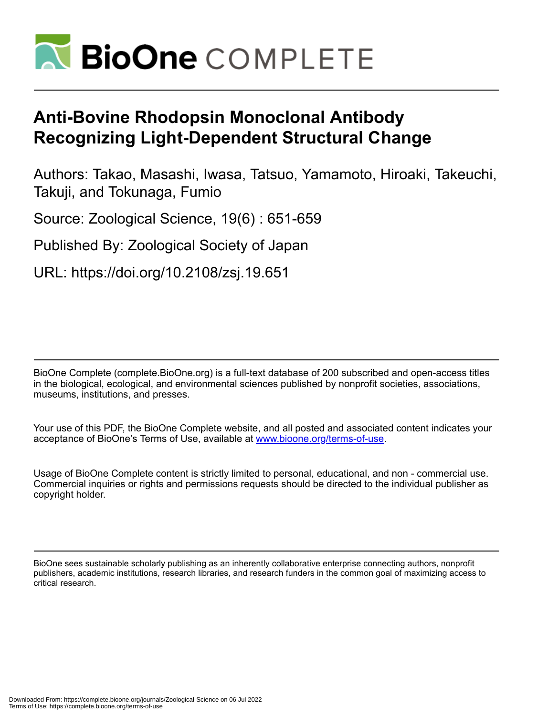

# **Anti-Bovine Rhodopsin Monoclonal Antibody Recognizing Light-Dependent Structural Change**

Authors: Takao, Masashi, Iwasa, Tatsuo, Yamamoto, Hiroaki, Takeuchi, Takuji, and Tokunaga, Fumio

Source: Zoological Science, 19(6) : 651-659

Published By: Zoological Society of Japan

URL: https://doi.org/10.2108/zsj.19.651

BioOne Complete (complete.BioOne.org) is a full-text database of 200 subscribed and open-access titles in the biological, ecological, and environmental sciences published by nonprofit societies, associations, museums, institutions, and presses.

Your use of this PDF, the BioOne Complete website, and all posted and associated content indicates your acceptance of BioOne's Terms of Use, available at www.bioone.org/terms-of-use.

Usage of BioOne Complete content is strictly limited to personal, educational, and non - commercial use. Commercial inquiries or rights and permissions requests should be directed to the individual publisher as copyright holder.

BioOne sees sustainable scholarly publishing as an inherently collaborative enterprise connecting authors, nonprofit publishers, academic institutions, research libraries, and research funders in the common goal of maximizing access to critical research.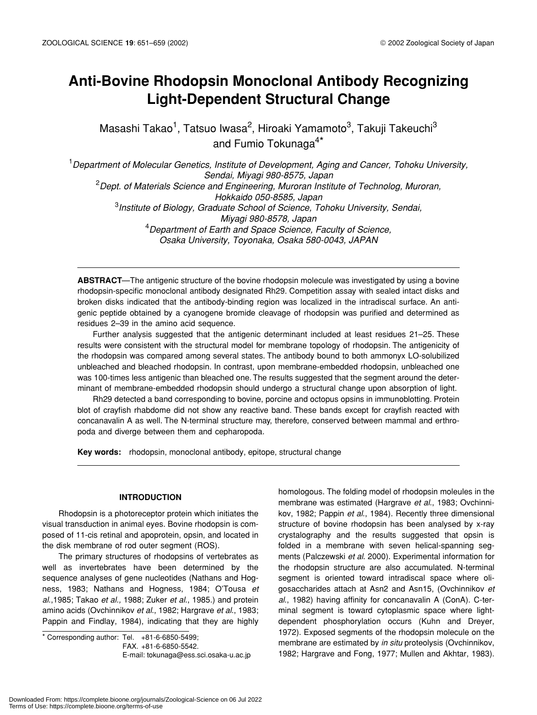# **Anti-Bovine Rhodopsin Monoclonal Antibody Recognizing Light-Dependent Structural Change**

Masashi Takao<sup>1</sup>, Tatsuo Iwasa<sup>2</sup>, Hiroaki Yamamoto<sup>3</sup>, Takuji Takeuchi<sup>3</sup> and Fumio Tokunaga<sup>4\*</sup>

1 *Department of Molecular Genetics, Institute of Development, Aging and Cancer, Tohoku University, Sendai, Miyagi 980-8575, Japan* 2 *Dept. of Materials Science and Engineering, Muroran Institute of Technolog, Muroran, Hokkaido 050-8585, Japan* 3 *Institute of Biology, Graduate School of Science, Tohoku University, Sendai, Miyagi 980-8578, Japan* 4 *Department of Earth and Space Science, Faculty of Science, Osaka University, Toyonaka, Osaka 580-0043, JAPAN*

**ABSTRACT**—The antigenic structure of the bovine rhodopsin molecule was investigated by using a bovine rhodopsin-specific monoclonal antibody designated Rh29. Competition assay with sealed intact disks and broken disks indicated that the antibody-binding region was localized in the intradiscal surface. An antigenic peptide obtained by a cyanogene bromide cleavage of rhodopsin was purified and determined as residues 2–39 in the amino acid sequence.

Further analysis suggested that the antigenic determinant included at least residues 21–25. These results were consistent with the structural model for membrane topology of rhodopsin. The antigenicity of the rhodopsin was compared among several states. The antibody bound to both ammonyx LO-solubilized unbleached and bleached rhodopsin. In contrast, upon membrane-embedded rhodopsin, unbleached one was 100-times less antigenic than bleached one. The results suggested that the segment around the determinant of membrane-embedded rhodopsin should undergo a structural change upon absorption of light.

Rh29 detected a band corresponding to bovine, porcine and octopus opsins in immunoblotting. Protein blot of crayfish rhabdome did not show any reactive band. These bands except for crayfish reacted with concanavalin A as well. The N-terminal structure may, therefore, conserved between mammal and erthropoda and diverge between them and cepharopoda.

**Key words:** rhodopsin, monoclonal antibody, epitope, structural change

# **INTRODUCTION**

Rhodopsin is a photoreceptor protein which initiates the visual transduction in animal eyes. Bovine rhodopsin is composed of 11-cis retinal and apoprotein, opsin, and located in the disk membrane of rod outer segment (ROS).

The primary structures of rhodopsins of vertebrates as well as invertebrates have been determined by the sequence analyses of gene nucleotides (Nathans and Hogness, 1983; Nathans and Hogness, 1984; O'Tousa *et al*.,1985; Takao *et al.,* 1988; Zuker *et al*., 1985.) and protein amino acids (Ovchinnikov *et al*., 1982; Hargrave *et al*., 1983; Pappin and Findlay, 1984), indicating that they are highly

 $*$  Corresponding author: Tel.  $+81-6-6850-5499$ ; FAX. +81-6-6850-5542. E-mail: tokunaga@ess.sci.osaka-u.ac.jp homologous. The folding model of rhodopsin moleules in the membrane was estimated (Hargrave *et al*., 1983; Ovchinnikov, 1982; Pappin *et al*., 1984). Recently three dimensional structure of bovine rhodopsin has been analysed by x-ray crystalography and the results suggested that opsin is folded in a membrane with seven helical-spanning segments (Palczewski *et al*. 2000). Experimental information for the rhodopsin structure are also accumulated. N-terminal segment is oriented toward intradiscal space where oligosaccharides attach at Asn2 and Asn15, (Ovchinnikov *et al*., 1982) having affinity for concanavalin A (ConA). C-terminal segment is toward cytoplasmic space where lightdependent phosphorylation occurs (Kuhn and Dreyer, 1972). Exposed segments of the rhodopsin molecule on the membrane are estimated by *in situ* proteolysis (Ovchinnikov, 1982; Hargrave and Fong, 1977; Mullen and Akhtar, 1983).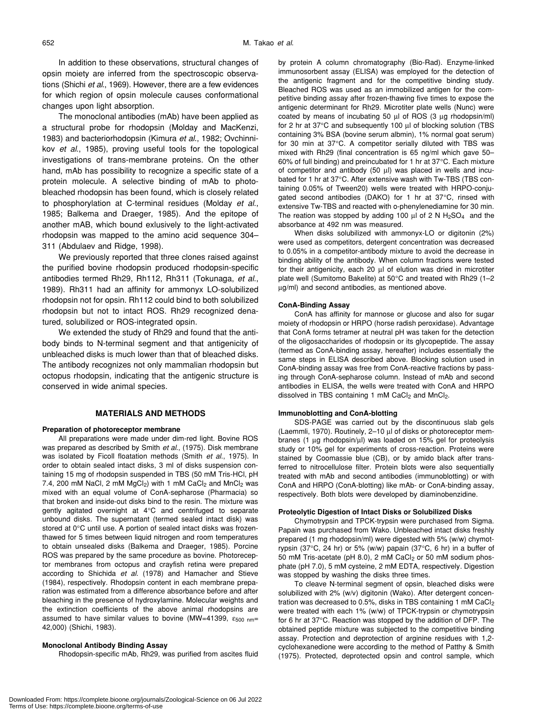In addition to these observations, structural changes of opsin moiety are inferred from the spectroscopic observations (Shichi *et al*., 1969). However, there are a few evidences for which region of opsin molecule causes conformational changes upon light absorption.

The monoclonal antibodies (mAb) have been applied as a structural probe for rhodopsin (Molday and MacKenzi, 1983) and bacteriorhodopsin (Kimura *et al*., 1982; Ovchinnikov *et al*., 1985), proving useful tools for the topological investigations of trans-membrane proteins. On the other hand, mAb has possibility to recognize a specific state of a protein molecule. A selective binding of mAb to photobleached rhodopsin has been found, which is closely related to phosphorylation at C-terminal residues (Molday *et al*., 1985; Balkema and Draeger, 1985). And the epitope of another mAB, which bound exlusively to the light-activated rhodopsin was mapped to the amino acid sequence 304– 311 (Abdulaev and Ridge, 1998).

We previously reported that three clones raised against the purified bovine rhodopsin produced rhodopsin-specific antibodies termed Rh29, Rh112, Rh311 (Tokunaga, *et al*., 1989). Rh311 had an affinity for ammonyx LO-solubilized rhodopsin not for opsin. Rh112 could bind to both solubilized rhodopsin but not to intact ROS. Rh29 recognized denatured, solubilized or ROS-integrated opsin.

We extended the study of Rh29 and found that the antibody binds to N-terminal segment and that antigenicity of unbleached disks is much lower than that of bleached disks. The antibody recognizes not only mammalian rhodopsin but octopus rhodopsin, indicating that the antigenic structure is conserved in wide animal species.

### **MATERIALS AND METHODS**

#### **Preparation of photoreceptor membrane**

All preparations were made under dim-red light. Bovine ROS was prepared as described by Smith *et al*., (1975). Disk membrane was isolated by Ficoll floatation methods (Smith *et al*., 1975). In order to obtain sealed intact disks, 3 ml of disks suspension containing 15 mg of rhodopsin suspended in TBS (50 mM Tris-HCl, pH 7.4, 200 mM NaCl, 2 mM  $MgCl<sub>2</sub>$ ) with 1 mM CaCl<sub>2</sub> and  $MnCl<sub>2</sub>$  was mixed with an equal volume of ConA-sepharose (Pharmacia) so that broken and inside-out disks bind to the resin. The mixture was gently agitated overnight at 4°C and centrifuged to separate unbound disks. The supernatant (termed sealed intact disk) was stored at 0°C until use. A portion of sealed intact disks was frozenthawed for 5 times between liquid nitrogen and room temperatures to obtain unsealed disks (Balkema and Draeger, 1985). Porcine ROS was prepared by the same procedure as bovine. Photoreceptor membranes from octopus and crayfish retina were prepared according to Shichida *et al.* (1978) and Hamacher and Stieve (1984), respectively. Rhodopsin content in each membrane preparation was estimated from a difference absorbance before and after bleaching in the presence of hydroxylamine. Molecular weights and the extinction coefficients of the above animal rhodopsins are assumed to have similar values to bovine (MW=41399,  $\varepsilon_{500\ nm}$ = 42,000) (Shichi, 1983).

#### **Monoclonal Antibody Binding Assay**

Rhodopsin-specific mAb, Rh29, was purified from ascites fluid

by protein A column chromatography (Bio-Rad). Enzyme-linked immunosorbent assay (ELISA) was employed for the detection of the antigenic fragment and for the competitive binding study. Bleached ROS was used as an immobilized antigen for the competitive binding assay after frozen-thawing five times to expose the antigenic determinant for Rh29. Microtiter plate wells (Nunc) were coated by means of incubating 50  $\mu$ l of ROS (3  $\mu$ g rhodopsin/ml) for 2 hr at 37°C and subsequently 100 µl of blocking solution (TBS containing 3% BSA (bovine serum albmin), 1% normal goat serum) for 30 min at 37°C. A competitor serially diluted with TBS was mixed with Rh29 (final concentration is 65 ng/ml which gave 50– 60% of full binding) and preincubated for 1 hr at 37°C. Each mixture of competitor and antibody (50 µl) was placed in wells and incubated for 1 hr at 37°C. After extensive wash with Tw-TBS (TBS containing 0.05% of Tween20) wells were treated with HRPO-conjugated second antibodies (DAKO) for 1 hr at 37°C, rinsed with extensive Tw-TBS and reacted with o-phenylenediamine for 30 min. The reation was stopped by adding 100  $\mu$ l of 2 N H<sub>2</sub>SO<sub>4</sub> and the absorbance at 492 nm was measured.

When disks solubilized with ammonyx-LO or digitonin (2%) were used as competitors, detergent concentration was decreased to 0.05% in a competitor-antibody mixture to avoid the decrease in binding ability of the antibody. When column fractions were tested for their antigenicity, each 20 µl of elution was dried in microtiter plate well (Sumitomo Bakelite) at 50°C and treated with Rh29 (1–2 µg/ml) and second antibodies, as mentioned above.

#### **ConA-Binding Assay**

ConA has affinity for mannose or glucose and also for sugar moiety of rhodopsin or HRPO (horse radish peroxidase). Advantage that ConA forms tetramer at neutral pH was taken for the detection of the oligosaccharides of rhodopsin or its glycopeptide. The assay (termed as ConA-binding assay, hereafter) includes essentially the same steps in ELISA described above. Blocking solution used in ConA-binding assay was free from ConA-reactive fractions by passing through ConA-sepharose column. Instead of mAb and second antibodies in ELISA, the wells were treated with ConA and HRPO dissolved in TBS containing 1 mM  $CaCl<sub>2</sub>$  and  $MnCl<sub>2</sub>$ .

#### **Immunoblotting and ConA-blotting**

SDS-PAGE was carried out by the discontinuous slab gels (Laemmli, 1970). Routinely, 2–10 µl of disks or photoreceptor membranes (1  $\mu$ g rhodopsin/ $\mu$ l) was loaded on 15% gel for proteolysis study or 10% gel for experiments of cross-reaction. Proteins were stained by Coomassie blue (CB), or by amido black after transferred to nitrocellulose filter. Protein blots were also sequentially treated with mAb and second antibodies (immunoblotting) or with ConA and HRPO (ConA-blotting) like mAb- or ConA-binding assay, respectively. Both blots were developed by diaminobenzidine.

#### **Proteolytic Digestion of Intact Disks or Solubilized Disks**

Chymotrypsin and TPCK-trypsin were purchased from Sigma. Papain was purchased from Wako. Unbleached intact disks freshly prepared (1 mg rhodopsin/ml) were digested with 5% (w/w) chymotrypsin (37 $\degree$ C, 24 hr) or 5% (w/w) papain (37 $\degree$ C, 6 hr) in a buffer of 50 mM Tris-acetate (pH 8.0), 2 mM CaCl<sub>2</sub> or 50 mM sodium phosphate (pH 7.0), 5 mM cysteine, 2 mM EDTA, respectively. Digestion was stopped by washing the disks three times.

To cleave N-terminal segment of opsin, bleached disks were solubilized with 2% (w/v) digitonin (Wako). After detergent concentration was decreased to 0.5%, disks in TBS containing 1 mM CaCl<sub>2</sub> were treated with each 1% (w/w) of TPCK-trypsin or chymotrypsin for 6 hr at 37°C. Reaction was stopped by the addition of DFP. The obtained peptide mixture was subjected to the competitive binding assay. Protection and deprotection of arginine residues with 1,2 cyclohexanedione were according to the method of Patthy & Smith (1975). Protected, deprotected opsin and control sample, which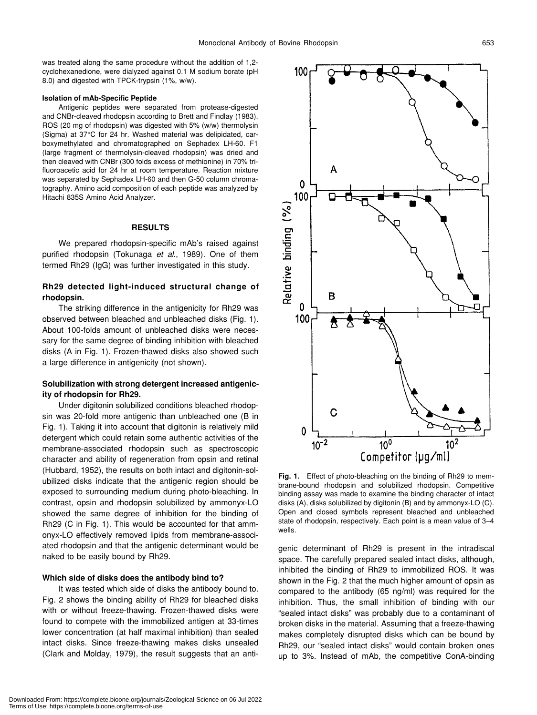was treated along the same procedure without the addition of 1,2 cyclohexanedione, were dialyzed against 0.1 M sodium borate (pH 8.0) and digested with TPCK-trypsin (1%, w/w).

#### **Isolation of mAb-Specific Peptide**

Antigenic peptides were separated from protease-digested and CNBr-cleaved rhodopsin according to Brett and Findlay (1983). ROS (20 mg of rhodopsin) was digested with 5% (w/w) thermolysin (Sigma) at 37°C for 24 hr. Washed material was delipidated, carboxymethylated and chromatographed on Sephadex LH-60. F1 (large fragment of thermolysin-cleaved rhodopsin) was dried and then cleaved with CNBr (300 folds excess of methionine) in 70% trifluoroacetic acid for 24 hr at room temperature. Reaction mixture was separated by Sephadex LH-60 and then G-50 column chromatography. Amino acid composition of each peptide was analyzed by Hitachi 835S Amino Acid Analyzer.

#### **RESULTS**

We prepared rhodopsin-specific mAb's raised against purified rhodopsin (Tokunaga *et al*., 1989). One of them termed Rh29 (IgG) was further investigated in this study.

# **Rh29 detected light-induced structural change of rhodopsin.**

The striking difference in the antigenicity for Rh29 was observed between bleached and unbleached disks (Fig. 1). About 100-folds amount of unbleached disks were necessary for the same degree of binding inhibition with bleached disks (A in Fig. 1). Frozen-thawed disks also showed such a large difference in antigenicity (not shown).

# **Solubilization with strong detergent increased antigenicity of rhodopsin for Rh29.**

Under digitonin solubilized conditions bleached rhodopsin was 20-fold more antigenic than unbleached one (B in Fig. 1). Taking it into account that digitonin is relatively mild detergent which could retain some authentic activities of the membrane-associated rhodopsin such as spectroscopic character and ability of regeneration from opsin and retinal (Hubbard, 1952), the results on both intact and digitonin-solubilized disks indicate that the antigenic region should be exposed to surrounding medium during photo-bleaching. In contrast, opsin and rhodopsin solubilized by ammonyx-LO showed the same degree of inhibition for the binding of Rh29 (C in Fig. 1). This would be accounted for that ammonyx-LO effectively removed lipids from membrane-associated rhodopsin and that the antigenic determinant would be naked to be easily bound by Rh29.

#### **Which side of disks does the antibody bind to?**

It was tested which side of disks the antibody bound to. Fig. 2 shows the binding ability of Rh29 for bleached disks with or without freeze-thawing. Frozen-thawed disks were found to compete with the immobilized antigen at 33-times lower concentration (at half maximal inhibition) than sealed intact disks. Since freeze-thawing makes disks unsealed (Clark and Molday, 1979), the result suggests that an anti-



**Fig. 1.** Effect of photo-bleaching on the binding of Rh29 to membrane-bound rhodopsin and solubilized rhodopsin. Competitive binding assay was made to examine the binding character of intact disks (A), disks solubilized by digitonin (B) and by ammonyx-LO (C). Open and closed symbols represent bleached and unbleached state of rhodopsin, respectively. Each point is a mean value of 3–4 wells.

genic determinant of Rh29 is present in the intradiscal space. The carefully prepared sealed intact disks, although, inhibited the binding of Rh29 to immobilized ROS. It was shown in the Fig. 2 that the much higher amount of opsin as compared to the antibody (65 ng/ml) was required for the inhibition. Thus, the small inhibition of binding with our "sealed intact disks" was probably due to a contaminant of broken disks in the material. Assuming that a freeze-thawing makes completely disrupted disks which can be bound by Rh29, our "sealed intact disks" would contain broken ones up to 3%. Instead of mAb, the competitive ConA-binding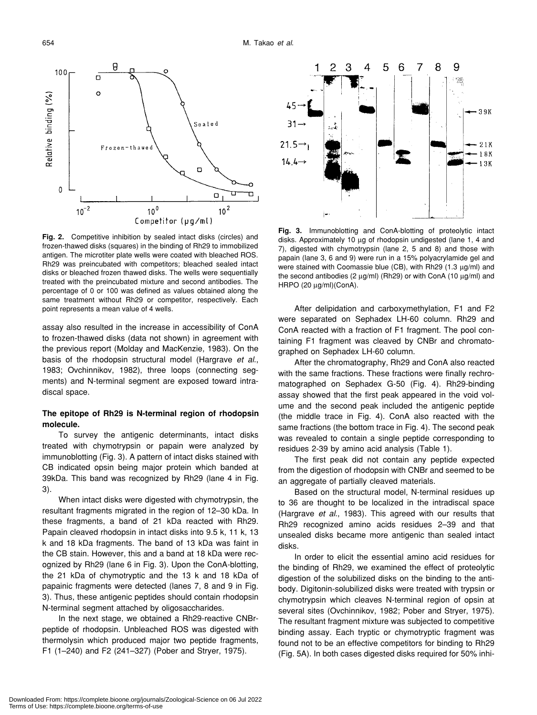

**Fig. 2.** Competitive inhibition by sealed intact disks (circles) and frozen-thawed disks (squares) in the binding of Rh29 to immobilized antigen. The microtiter plate wells were coated with bleached ROS. Rh29 was preincubated with competitors; bleached sealed intact disks or bleached frozen thawed disks. The wells were sequentially treated with the preincubated mixture and second antibodies. The percentage of 0 or 100 was defined as values obtained along the same treatment without Rh29 or competitor, respectively. Each point represents a mean value of 4 wells.

assay also resulted in the increase in accessibility of ConA to frozen-thawed disks (data not shown) in agreement with the previous report (Molday and MacKenzie, 1983). On the basis of the rhodopsin structural model (Hargrave *et al*., 1983; Ovchinnikov, 1982), three loops (connecting segments) and N-terminal segment are exposed toward intradiscal space.

# **The epitope of Rh29 is N-terminal region of rhodopsin molecule.**

To survey the antigenic determinants, intact disks treated with chymotrypsin or papain were analyzed by immunoblotting (Fig. 3). A pattern of intact disks stained with CB indicated opsin being major protein which banded at 39kDa. This band was recognized by Rh29 (lane 4 in Fig. 3).

When intact disks were digested with chymotrypsin, the resultant fragments migrated in the region of 12–30 kDa. In these fragments, a band of 21 kDa reacted with Rh29. Papain cleaved rhodopsin in intact disks into 9.5 k, 11 k, 13 k and 18 kDa fragments. The band of 13 kDa was faint in the CB stain. However, this and a band at 18 kDa were recognized by Rh29 (lane 6 in Fig. 3). Upon the ConA-blotting, the 21 kDa of chymotryptic and the 13 k and 18 kDa of papainic fragments were detected (lanes 7, 8 and 9 in Fig. 3). Thus, these antigenic peptides should contain rhodopsin N-terminal segment attached by oligosaccharides.

In the next stage, we obtained a Rh29-reactive CNBrpeptide of rhodopsin. Unbleached ROS was digested with thermolysin which produced major two peptide fragments, F1 (1–240) and F2 (241–327) (Pober and Stryer, 1975).



**Fig. 3.** Immunoblotting and ConA-blotting of proteolytic intact disks. Approximately 10 µg of rhodopsin undigested (lane 1, 4 and 7), digested with chymotrypsin (lane 2, 5 and 8) and those with papain (lane 3, 6 and 9) were run in a 15% polyacrylamide gel and were stained with Coomassie blue (CB), with Rh29 (1.3 µg/ml) and the second antibodies (2  $\mu$ g/ml) (Rh29) or with ConA (10  $\mu$ g/ml) and HRPO (20 µg/ml)(ConA).

After delipidation and carboxymethylation, F1 and F2 were separated on Sephadex LH-60 column. Rh29 and ConA reacted with a fraction of F1 fragment. The pool containing F1 fragment was cleaved by CNBr and chromatographed on Sephadex LH-60 column.

After the chromatography, Rh29 and ConA also reacted with the same fractions. These fractions were finally rechromatographed on Sephadex G-50 (Fig. 4). Rh29-binding assay showed that the first peak appeared in the void volume and the second peak included the antigenic peptide (the middle trace in Fig. 4). ConA also reacted with the same fractions (the bottom trace in Fig. 4). The second peak was revealed to contain a single peptide corresponding to residues 2-39 by amino acid analysis (Table 1).

The first peak did not contain any peptide expected from the digestion of rhodopsin with CNBr and seemed to be an aggregate of partially cleaved materials.

Based on the structural model, N-terminal residues up to 36 are thought to be localized in the intradiscal space (Hargrave *et al*., 1983). This agreed with our results that Rh29 recognized amino acids residues 2–39 and that unsealed disks became more antigenic than sealed intact disks.

In order to elicit the essential amino acid residues for the binding of Rh29, we examined the effect of proteolytic digestion of the solubilized disks on the binding to the antibody. Digitonin-solubilized disks were treated with trypsin or chymotrypsin which cleaves N-terminal region of opsin at several sites (Ovchinnikov, 1982; Pober and Stryer, 1975). The resultant fragment mixture was subjected to competitive binding assay. Each tryptic or chymotryptic fragment was found not to be an effective competitors for binding to Rh29 (Fig. 5A). In both cases digested disks required for 50% inhi-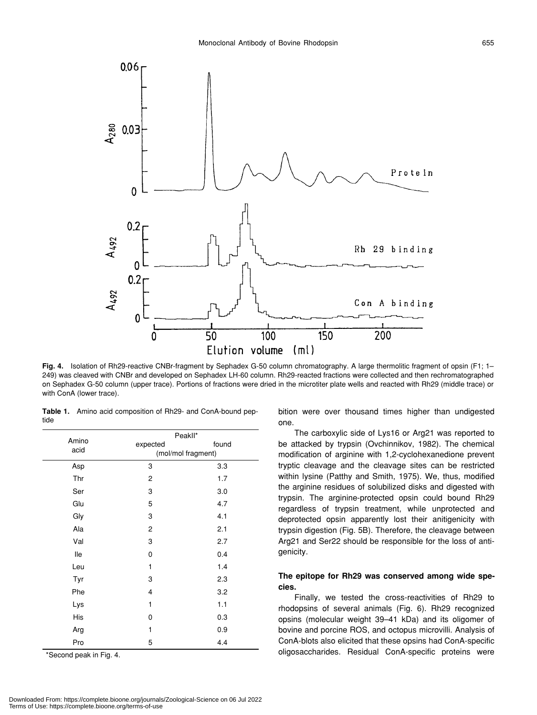

**Fig. 4.** Isolation of Rh29-reactive CNBr-fragment by Sephadex G-50 column chromatography. A large thermolitic fragment of opsin (F1; 1– 249) was cleaved with CNBr and developed on Sephadex LH-60 column. Rh29-reacted fractions were collected and then rechromatographed on Sephadex G-50 column (upper trace). Portions of fractions were dried in the microtiter plate wells and reacted with Rh29 (middle trace) or with ConA (lower trace).

**Table 1.** Amino acid composition of Rh29- and ConA-bound peptide

| Amino<br>acid | Peakll*            |       |
|---------------|--------------------|-------|
|               | expected           | found |
|               | (mol/mol fragment) |       |
| Asp           | 3                  | 3.3   |
| Thr           | 2                  | 1.7   |
| Ser           | 3                  | 3.0   |
| Glu           | 5                  | 4.7   |
| Gly           | 3                  | 4.1   |
| Ala           | 2                  | 2.1   |
| Val           | 3                  | 2.7   |
| lle           | 0                  | 0.4   |
| Leu           | 1                  | 1.4   |
| Tyr           | 3                  | 2.3   |
| Phe           | 4                  | 3.2   |
| Lys           | 1                  | 1.1   |
| His           | 0                  | 0.3   |
| Arg           | 1                  | 0.9   |
| Pro           | 5                  | 4.4   |
|               |                    |       |

\*Second peak in Fig. 4.

bition were over thousand times higher than undigested one.

The carboxylic side of Lys16 or Arg21 was reported to be attacked by trypsin (Ovchinnikov, 1982). The chemical modification of arginine with 1,2-cyclohexanedione prevent tryptic cleavage and the cleavage sites can be restricted within lysine (Patthy and Smith, 1975). We, thus, modified the arginine residues of solubilized disks and digested with trypsin. The arginine-protected opsin could bound Rh29 regardless of trypsin treatment, while unprotected and deprotected opsin apparently lost their anitigenicity with trypsin digestion (Fig. 5B). Therefore, the cleavage between Arg21 and Ser22 should be responsible for the loss of antigenicity.

# **The epitope for Rh29 was conserved among wide species.**

Finally, we tested the cross-reactivities of Rh29 to rhodopsins of several animals (Fig. 6). Rh29 recognized opsins (molecular weight 39–41 kDa) and its oligomer of bovine and porcine ROS, and octopus microvilli. Analysis of ConA-blots also elicited that these opsins had ConA-specific oligosaccharides. Residual ConA-specific proteins were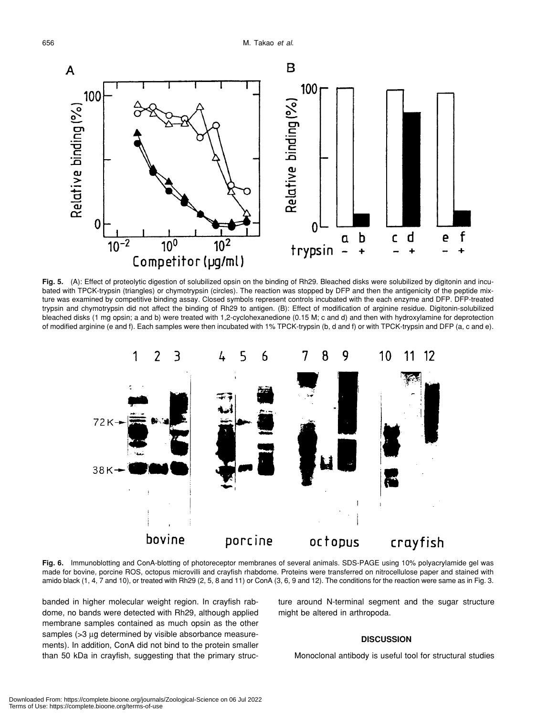

**Fig. 5.** (A): Effect of proteolytic digestion of solubilized opsin on the binding of Rh29. Bleached disks were solubilized by digitonin and incubated with TPCK-trypsin (triangles) or chymotrypsin (circles). The reaction was stopped by DFP and then the antigenicity of the peptide mixture was examined by competitive binding assay. Closed symbols represent controls incubated with the each enzyme and DFP. DFP-treated trypsin and chymotrypsin did not affect the binding of Rh29 to antigen. (B): Effect of modification of arginine residue. Digitonin-solubilized bleached disks (1 mg opsin; a and b) were treated with 1,2-cyclohexanedione (0.15 M; c and d) and then with hydroxylamine for deprotection of modified arginine (e and f). Each samples were then incubated with 1% TPCK-trypsin (b, d and f) or with TPCK-trypsin and DFP (a, c and e).



**Fig. 6.** Immunoblotting and ConA-blotting of photoreceptor membranes of several animals. SDS-PAGE using 10% polyacrylamide gel was made for bovine, porcine ROS, octopus microvilli and crayfish rhabdome. Proteins were transferred on nitrocellulose paper and stained with amido black (1, 4, 7 and 10), or treated with Rh29 (2, 5, 8 and 11) or ConA (3, 6, 9 and 12). The conditions for the reaction were same as in Fig. 3.

banded in higher molecular weight region. In crayfish rabdome, no bands were detected with Rh29, although applied membrane samples contained as much opsin as the other samples (>3 µg determined by visible absorbance measurements). In addition, ConA did not bind to the protein smaller than 50 kDa in crayfish, suggesting that the primary structure around N-terminal segment and the sugar structure might be altered in arthropoda.

# **DISCUSSION**

Monoclonal antibody is useful tool for structural studies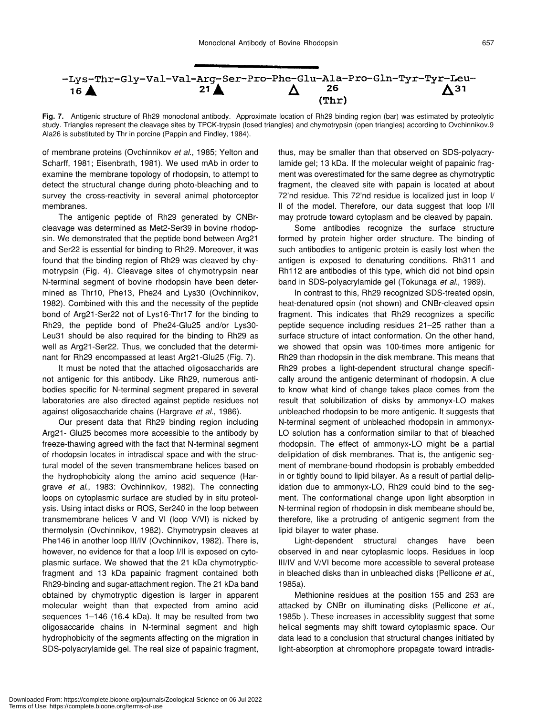

**Fig. 7.** Antigenic structure of Rh29 monoclonal antibody. Approximate location of Rh29 binding region (bar) was estimated by proteolytic study. Triangles represent the cleavage sites by TPCK-trypsin (losed triangles) and chymotrypsin (open triangles) according to Ovchinnikov.9 Ala26 is substituted by Thr in porcine (Pappin and Findley, 1984).

of membrane proteins (Ovchinnikov *et al*., 1985; Yelton and Scharff, 1981; Eisenbrath, 1981). We used mAb in order to examine the membrane topology of rhodopsin, to attempt to detect the structural change during photo-bleaching and to survey the cross-reactivity in several animal photorceptor membranes.

The antigenic peptide of Rh29 generated by CNBrcleavage was determined as Met2-Ser39 in bovine rhodopsin. We demonstrated that the peptide bond between Arg21 and Ser22 is essential for binding to Rh29. Moreover, it was found that the binding region of Rh29 was cleaved by chymotrypsin (Fig. 4). Cleavage sites of chymotrypsin near N-terminal segment of bovine rhodopsin have been determined as Thr10, Phe13, Phe24 and Lys30 (Ovchinnikov, 1982). Combined with this and the necessity of the peptide bond of Arg21-Ser22 not of Lys16-Thr17 for the binding to Rh29, the peptide bond of Phe24-Glu25 and/or Lys30- Leu31 should be also required for the binding to Rh29 as well as Arg21-Ser22. Thus, we concluded that the determinant for Rh29 encompassed at least Arg21-Glu25 (Fig. 7).

It must be noted that the attached oligosaccharids are not antigenic for this antibody. Like Rh29, numerous antibodies specific for N-terminal segment prepared in several laboratories are also directed against peptide residues not against oligosaccharide chains (Hargrave *et al*., 1986).

Our present data that Rh29 binding region including Arg21- Glu25 becomes more accessible to the antibody by freeze-thawing agreed with the fact that N-terminal segment of rhodopsin locates in intradiscal space and with the structural model of the seven transmembrane helices based on the hydrophobicity along the amino acid sequence (Hargrave *et al*., 1983: Ovchinnikov, 1982). The connecting loops on cytoplasmic surface are studied by in situ proteolysis. Using intact disks or ROS, Ser240 in the loop between transmembrane helices V and VI (loop V/VI) is nicked by thermolysin (Ovchinnikov, 1982). Chymotrypsin cleaves at Phe146 in another loop III/IV (Ovchinnikov, 1982). There is, however, no evidence for that a loop I/II is exposed on cytoplasmic surface. We showed that the 21 kDa chymotrypticfragment and 13 kDa papainic fragment contained both Rh29-binding and sugar-attachment region. The 21 kDa band obtained by chymotryptic digestion is larger in apparent molecular weight than that expected from amino acid sequences 1–146 (16.4 kDa). It may be resulted from two oligosaccaride chains in N-terminal segment and high hydrophobicity of the segments affecting on the migration in SDS-polyacrylamide gel. The real size of papainic fragment, thus, may be smaller than that observed on SDS-polyacrylamide gel; 13 kDa. If the molecular weight of papainic fragment was overestimated for the same degree as chymotryptic fragment, the cleaved site with papain is located at about 72'nd residue. This 72'nd residue is localized just in loop I/ II of the model. Therefore, our data suggest that loop I/II may protrude toward cytoplasm and be cleaved by papain.

Some antibodies recognize the surface structure formed by protein higher order structure. The binding of such antibodies to antigenic protein is easily lost when the antigen is exposed to denaturing conditions. Rh311 and Rh112 are antibodies of this type, which did not bind opsin band in SDS-polyacrylamide gel (Tokunaga *et al*., 1989).

In contrast to this, Rh29 recognized SDS-treated opsin, heat-denatured opsin (not shown) and CNBr-cleaved opsin fragment. This indicates that Rh29 recognizes a specific peptide sequence including residues 21–25 rather than a surface structure of intact conformation. On the other hand, we showed that opsin was 100-times more antigenic for Rh29 than rhodopsin in the disk membrane. This means that Rh29 probes a light-dependent structural change specifically around the antigenic determinant of rhodopsin. A clue to know what kind of change takes place comes from the result that solubilization of disks by ammonyx-LO makes unbleached rhodopsin to be more antigenic. It suggests that N-terminal segment of unbleached rhodopsin in ammonyx-LO solution has a conformation similar to that of bleached rhodopsin. The effect of ammonyx-LO might be a partial delipidation of disk membranes. That is, the antigenic segment of membrane-bound rhodopsin is probably embedded in or tightly bound to lipid bilayer. As a result of partial delipidation due to ammonyx-LO, Rh29 could bind to the segment. The conformational change upon light absorption in N-terminal region of rhodopsin in disk membeane should be, therefore, like a protruding of antigenic segment from the lipid bilayer to water phase.

Light-dependent structural changes have been observed in and near cytoplasmic loops. Residues in loop III/IV and V/VI become more accessible to several protease in bleached disks than in unbleached disks (Pellicone *et al*., 1985a).

Methionine residues at the position 155 and 253 are attacked by CNBr on illuminating disks (Pellicone *et al*., 1985b ). These increases in accessiblity suggest that some helical segments may shift toward cytoplasmic space. Our data lead to a conclusion that structural changes initiated by light-absorption at chromophore propagate toward intradis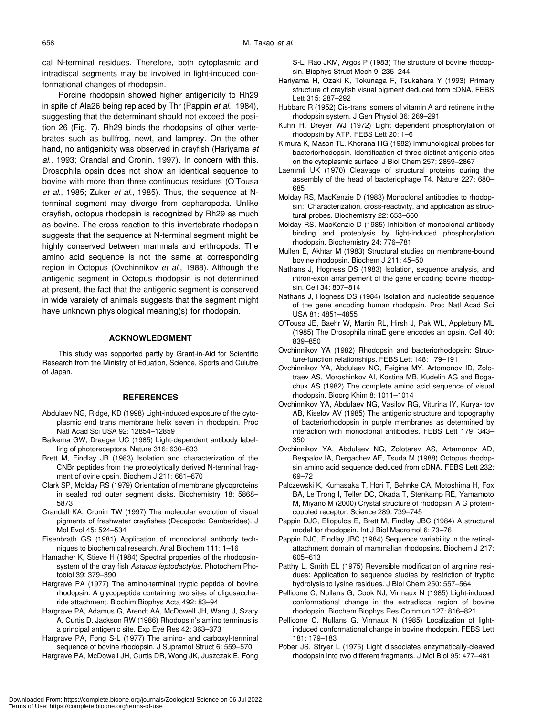cal N-terminal residues. Therefore, both cytoplasmic and intradiscal segments may be involved in light-induced conformational changes of rhodopsin.

Porcine rhodopsin showed higher antigenicity to Rh29 in spite of Ala26 being replaced by Thr (Pappin *et al*., 1984), suggesting that the determinant should not exceed the position 26 (Fig. 7). Rh29 binds the rhodopsins of other vertebrates such as bullfrog, newt, and lamprey. On the other hand, no antigenicity was observed in crayfish (Hariyama *et al*., 1993; Crandal and Cronin, 1997). In concern with this, Drosophila opsin does not show an identical sequence to bovine with more than three continuous residues (O'Tousa *et al*., 1985; Zuker *et al*., 1985). Thus, the sequence at Nterminal segment may diverge from cepharopoda. Unlike crayfish, octopus rhodopsin is recognized by Rh29 as much as bovine. The cross-reaction to this invertebrate rhodopsin suggests that the sequence at N-terminal segment might be highly conserved between mammals and erthropods. The amino acid sequence is not the same at corresponding region in Octopus (Ovchinnikov *et al*., 1988). Although the antigenic segment in Octopus rhodopsin is not determined at present, the fact that the antigenic segment is conserved in wide varaiety of animals suggests that the segment might have unknown physiological meaning(s) for rhodopsin.

#### **ACKNOWLEDGMENT**

This study was sopported partly by Grant-in-Aid for Scientific Research from the Ministry of Eduation, Science, Sports and Culutre of Japan.

#### **REFERENCES**

- Abdulaev NG, Ridge, KD (1998) Light-induced exposure of the cytoplasmic end trans membrane helix seven in rhodopsin. Proc Natl Acad Sci USA 92: 12854–12859
- Balkema GW, Draeger UC (1985) Light-dependent antibody labelling of photoreceptors. Nature 316: 630–633
- Brett M, Findlay JB (1983) Isolation and characterization of the CNBr peptides from the proteolytically derived N-terminal fragment of ovine opsin. Biochem J 211: 661–670
- Clark SP, Molday RS (1979) Orientation of membrane glycoproteins in sealed rod outer segment disks. Biochemistry 18: 5868– 5873
- Crandall KA, Cronin TW (1997) The molecular evolution of visual pigments of freshwater crayfishes (Decapoda: Cambaridae). J Mol Evol 45: 524–534
- Eisenbrath GS (1981) Application of monoclonal antibody techniques to biochemical research. Anal Biochem 111: 1–16
- Hamacher K, Stieve H (1984) Spectral properties of the rhodopsinsystem of the cray fish *Astacus leptodactylus*. Photochem Photobiol 39: 379–390
- Hargrave PA (1977) The amino-terminal tryptic peptide of bovine rhodopsin. A glycopeptide containing two sites of oligosaccharide attachment. Biochim Biophys Acta 492: 83–94
- Hargrave PA, Adamus G, Arendt AA, McDowell JH, Wang J, Szary A, Curtis D, Jackson RW (1986) Rhodopsin's amino terminus is a principal antigenic site. Exp Eye Res 42: 363–373
- Hargrave PA, Fong S-L (1977) The amino- and carboxyl-terminal sequence of bovine rhodopsin. J Supramol Struct 6: 559–570
- Hargrave PA, McDowell JH, Curtis DR, Wong JK, Juszczak E, Fong

S-L, Rao JKM, Argos P (1983) The structure of bovine rhodopsin. Biophys Struct Mech 9: 235–244

- Hariyama H, Ozaki K, Tokunaga F, Tsukahara Y (1993) Primary structure of crayfish visual pigment deduced form cDNA. FEBS Lett 315: 287–292
- Hubbard R (1952) Cis-trans isomers of vitamin A and retinene in the rhodopsin system. J Gen Physiol 36: 269–291
- Kuhn H, Dreyer WJ (1972) Light dependent phosphorylation of rhodopsin by ATP. FEBS Lett 20: 1–6
- Kimura K, Mason TL, Khorana HG (1982) Immunological probes for bacteriorhodopsin. Identification of three distinct antigenic sites on the cytoplasmic surface. J Biol Chem 257: 2859–2867
- Laemmli UK (1970) Cleavage of structural proteins during the assembly of the head of bacteriophage T4. Nature 227: 680– 685
- Molday RS, MacKenzie D (1983) Monoclonal antibodies to rhodopsin: Characterization, cross-reactivity, and application as structural probes. Biochemistry 22: 653–660
- Molday RS, MacKenzie D (1985) Inhibition of monoclonal antibody binding and proteolysis by light-induced phosphorylation rhodopsin. Biochemistry 24: 776–781
- Mullen E, Akhtar M (1983) Structural studies on membrane-bound bovine rhodopsin. Biochem J 211: 45–50
- Nathans J, Hogness DS (1983) Isolation, sequence analysis, and intron-exon arrangement of the gene encoding bovine rhodopsin. Cell 34: 807–814
- Nathans J, Hogness DS (1984) Isolation and nucleotide sequence of the gene encoding human rhodopsin. Proc Natl Acad Sci USA 81: 4851–4855
- O'Tousa JE, Baehr W, Martin RL, Hirsh J, Pak WL, Applebury ML (1985) The Drosophila ninaE gene encodes an opsin. Cell 40: 839–850
- Ovchinnikov YA (1982) Rhodopsin and bacteriorhodopsin: Structure-function relationships. FEBS Lett 148: 179–191
- Ovchinnikov YA, Abdulaev NG, Feigina MY, Artomonov ID, Zolotraev AS, Moroshinkov AI, Kostina MB, Kudelin AG and Bogachuk AS (1982) The complete amino acid sequence of visual rhodopsin. Bioorg Khim 8: 1011–1014
- Ovchinnikov YA, Abdulaev NG, Vasilov RG, Viturina IY, Kurya- tov AB, Kiselov AV (1985) The antigenic structure and topography of bacteriorhodopsin in purple membranes as determined by interaction with monoclonal antibodies. FEBS Lett 179: 343– 350
- Ovchinnikov YA, Abdulaev NG, Zolotarev AS, Artamonov AD, Bespalov IA, Dergachev AE, Tsuda M (1988) Octopus rhodopsin amino acid sequence deduced from cDNA. FEBS Lett 232: 69–72
- Palczewski K, Kumasaka T, Hori T, Behnke CA, Motoshima H, Fox BA, Le Trong I, Teller DC, Okada T, Stenkamp RE, Yamamoto M, Miyano M (2000) Crystal structure of rhodopsin: A G proteincoupled receptor. Science 289: 739–745
- Pappin DJC, Eliopulos E, Brett M, Findlay JBC (1984) A structural model for rhodopsin. Int J Biol Macromol 6: 73–76
- Pappin DJC, Findlay JBC (1984) Sequence variability in the retinalattachment domain of mammalian rhodopsins. Biochem J 217: 605–613
- Patthy L, Smith EL (1975) Reversible modification of arginine residues: Application to sequence studies by restriction of tryptic hydrolysis to lysine residues. J Biol Chem 250: 557–564
- Pellicone C, Nullans G, Cook NJ, Virmaux N (1985) Light-induced conformational change in the extradiscal region of bovine rhodopsin. Biochem Biophys Res Commun 127: 816–821
- Pellicone C, Nullans G, Virmaux N (1985) Localization of lightinduced conformational change in bovine rhodopsin. FEBS Lett 181: 179–183
- Pober JS, Stryer L (1975) Light dissociates enzymatically-cleaved rhodopsin into two different fragments. J Mol Biol 95: 477–481